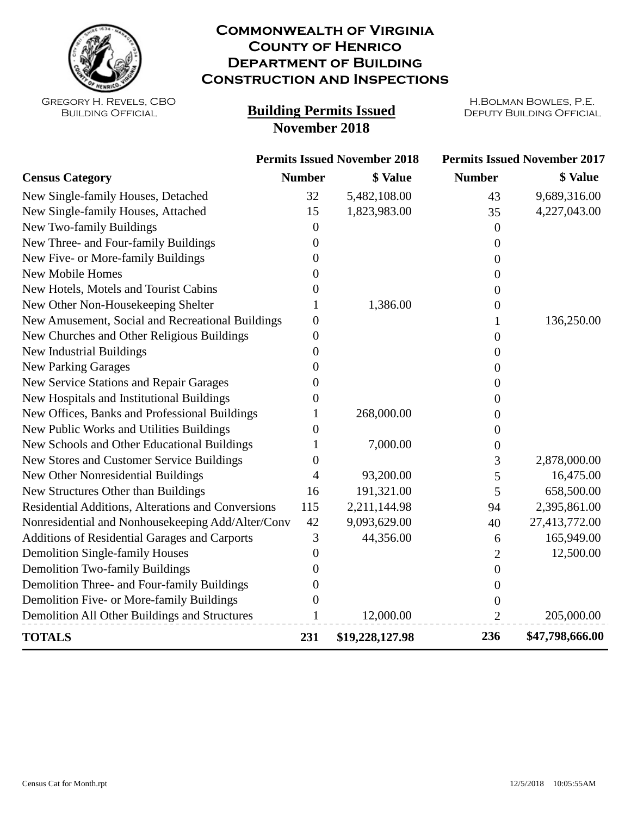

## **Commonwealth of Virginia County of Henrico Department of Building Construction and Inspections**

Gregory H. Revels, CBO Building Official

## **Building Permits Issued DEPUTY BUILDING OFFICIAL November 2018**

H.Bolman Bowles, P.E.

|                                                    | <b>Permits Issued November 2018</b> |                 | <b>Permits Issued November 2017</b> |                 |
|----------------------------------------------------|-------------------------------------|-----------------|-------------------------------------|-----------------|
| <b>Census Category</b>                             | <b>Number</b>                       | \$ Value        | <b>Number</b>                       | \$ Value        |
| New Single-family Houses, Detached                 | 32                                  | 5,482,108.00    | 43                                  | 9,689,316.00    |
| New Single-family Houses, Attached                 | 15                                  | 1,823,983.00    | 35                                  | 4,227,043.00    |
| New Two-family Buildings                           | 0                                   |                 | $\Omega$                            |                 |
| New Three- and Four-family Buildings               | 0                                   |                 | $\Omega$                            |                 |
| New Five- or More-family Buildings                 | 0                                   |                 | 0                                   |                 |
| <b>New Mobile Homes</b>                            | 0                                   |                 | 0                                   |                 |
| New Hotels, Motels and Tourist Cabins              | 0                                   |                 | 0                                   |                 |
| New Other Non-Housekeeping Shelter                 |                                     | 1,386.00        | 0                                   |                 |
| New Amusement, Social and Recreational Buildings   | 0                                   |                 |                                     | 136,250.00      |
| New Churches and Other Religious Buildings         | $\overline{0}$                      |                 | 0                                   |                 |
| <b>New Industrial Buildings</b>                    | $\overline{0}$                      |                 | 0                                   |                 |
| <b>New Parking Garages</b>                         | 0                                   |                 | 0                                   |                 |
| New Service Stations and Repair Garages            | 0                                   |                 | 0                                   |                 |
| New Hospitals and Institutional Buildings          | 0                                   |                 | 0                                   |                 |
| New Offices, Banks and Professional Buildings      |                                     | 268,000.00      | 0                                   |                 |
| New Public Works and Utilities Buildings           | 0                                   |                 | 0                                   |                 |
| New Schools and Other Educational Buildings        |                                     | 7,000.00        | 0                                   |                 |
| New Stores and Customer Service Buildings          | 0                                   |                 | 3                                   | 2,878,000.00    |
| New Other Nonresidential Buildings                 | 4                                   | 93,200.00       | 5                                   | 16,475.00       |
| New Structures Other than Buildings                | 16                                  | 191,321.00      | 5                                   | 658,500.00      |
| Residential Additions, Alterations and Conversions | 115                                 | 2,211,144.98    | 94                                  | 2,395,861.00    |
| Nonresidential and Nonhousekeeping Add/Alter/Conv  | 42                                  | 9,093,629.00    | 40                                  | 27,413,772.00   |
| Additions of Residential Garages and Carports      | 3                                   | 44,356.00       | 6                                   | 165,949.00      |
| <b>Demolition Single-family Houses</b>             | $\overline{0}$                      |                 | 2                                   | 12,500.00       |
| <b>Demolition Two-family Buildings</b>             | 0                                   |                 | $\boldsymbol{0}$                    |                 |
| Demolition Three- and Four-family Buildings        | 0                                   |                 | 0                                   |                 |
| Demolition Five- or More-family Buildings          | 0                                   |                 | 0                                   |                 |
| Demolition All Other Buildings and Structures      |                                     | 12,000.00       | $\overline{2}$                      | 205,000.00      |
| <b>TOTALS</b>                                      | 231                                 | \$19,228,127.98 | 236                                 | \$47,798,666.00 |